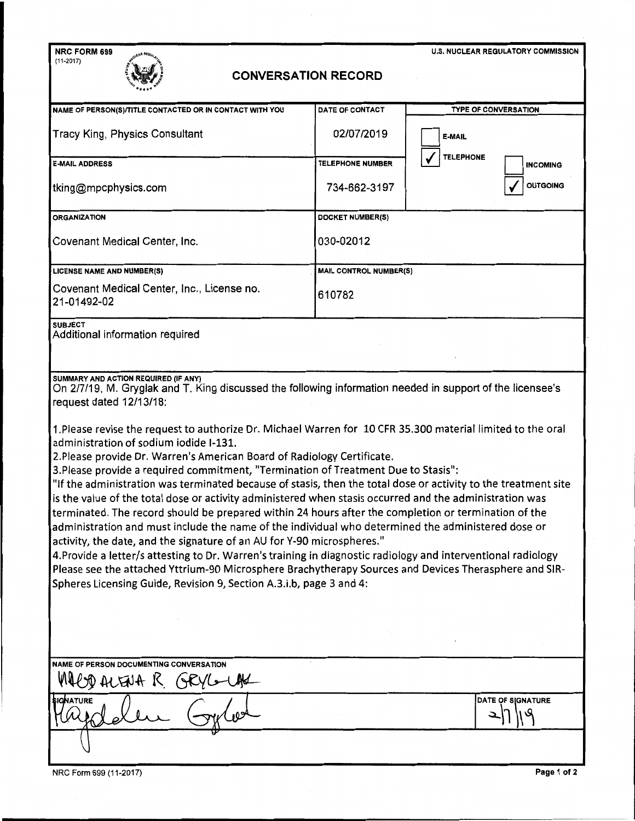| NRC FORM 699                                                                                                                                                                                                                                                                                                                                                                                                                                                                                                                                                                                                                                                                                                                                                                                                                                                                                                                                                                                                                                                                                                                                                                                                                                                                                                                 |                         | U.S. NUCLEAR REGULATORY COMMISSION  |  |
|------------------------------------------------------------------------------------------------------------------------------------------------------------------------------------------------------------------------------------------------------------------------------------------------------------------------------------------------------------------------------------------------------------------------------------------------------------------------------------------------------------------------------------------------------------------------------------------------------------------------------------------------------------------------------------------------------------------------------------------------------------------------------------------------------------------------------------------------------------------------------------------------------------------------------------------------------------------------------------------------------------------------------------------------------------------------------------------------------------------------------------------------------------------------------------------------------------------------------------------------------------------------------------------------------------------------------|-------------------------|-------------------------------------|--|
| $(11-2017)$<br><b>CONVERSATION RECORD</b>                                                                                                                                                                                                                                                                                                                                                                                                                                                                                                                                                                                                                                                                                                                                                                                                                                                                                                                                                                                                                                                                                                                                                                                                                                                                                    |                         |                                     |  |
| NAME OF PERSON(S)/TITLE CONTACTED OR IN CONTACT WITH YOU                                                                                                                                                                                                                                                                                                                                                                                                                                                                                                                                                                                                                                                                                                                                                                                                                                                                                                                                                                                                                                                                                                                                                                                                                                                                     | DATE OF CONTACT         | TYPE OF CONVERSATION                |  |
| <b>Tracy King, Physics Consultant</b>                                                                                                                                                                                                                                                                                                                                                                                                                                                                                                                                                                                                                                                                                                                                                                                                                                                                                                                                                                                                                                                                                                                                                                                                                                                                                        | 02/07/2019              | <b>E-MAIL</b>                       |  |
| <b>E-MAIL ADDRESS</b>                                                                                                                                                                                                                                                                                                                                                                                                                                                                                                                                                                                                                                                                                                                                                                                                                                                                                                                                                                                                                                                                                                                                                                                                                                                                                                        | <b>TELEPHONE NUMBER</b> | <b>TELEPHONE</b><br><b>INCOMING</b> |  |
| tking@mpcphysics.com                                                                                                                                                                                                                                                                                                                                                                                                                                                                                                                                                                                                                                                                                                                                                                                                                                                                                                                                                                                                                                                                                                                                                                                                                                                                                                         | 734-662-3197            | <b>OUTGOING</b>                     |  |
| <b>ORGANIZATION</b>                                                                                                                                                                                                                                                                                                                                                                                                                                                                                                                                                                                                                                                                                                                                                                                                                                                                                                                                                                                                                                                                                                                                                                                                                                                                                                          | DOCKET NUMBER(S)        |                                     |  |
| <b>Covenant Medical Center, Inc.</b>                                                                                                                                                                                                                                                                                                                                                                                                                                                                                                                                                                                                                                                                                                                                                                                                                                                                                                                                                                                                                                                                                                                                                                                                                                                                                         | 030-02012               |                                     |  |
| <b>LICENSE NAME AND NUMBER(S)</b>                                                                                                                                                                                                                                                                                                                                                                                                                                                                                                                                                                                                                                                                                                                                                                                                                                                                                                                                                                                                                                                                                                                                                                                                                                                                                            | MAIL CONTROL NUMBER(S)  |                                     |  |
| Covenant Medical Center, Inc., License no.<br>21-01492-02                                                                                                                                                                                                                                                                                                                                                                                                                                                                                                                                                                                                                                                                                                                                                                                                                                                                                                                                                                                                                                                                                                                                                                                                                                                                    | 610782                  |                                     |  |
| <b>SUBJECT</b><br>Additional information required                                                                                                                                                                                                                                                                                                                                                                                                                                                                                                                                                                                                                                                                                                                                                                                                                                                                                                                                                                                                                                                                                                                                                                                                                                                                            |                         |                                     |  |
| SUMMARY AND ACTION REQUIRED (IF ANY)<br>On 2/7/19, M. Gryglak and T. King discussed the following information needed in support of the licensee's<br>request dated 12/13/18:<br>1. Please revise the request to authorize Dr. Michael Warren for 10 CFR 35.300 material limited to the oral<br>administration of sodium iodide I-131.<br>2. Please provide Dr. Warren's American Board of Radiology Certificate.<br>3. Please provide a required commitment, "Termination of Treatment Due to Stasis":<br>"If the administration was terminated because of stasis, then the total dose or activity to the treatment site<br>is the value of the total dose or activity administered when stasis occurred and the administration was<br>terminated. The record should be prepared within 24 hours after the completion or termination of the<br>administration and must include the name of the individual who determined the administered dose or<br>activity, the date, and the signature of an AU for Y-90 microspheres."<br>4. Provide a letter/s attesting to Dr. Warren's training in diagnostic radiology and interventional radiology<br>Please see the attached Yttrium-90 Microsphere Brachytherapy Sources and Devices Therasphere and SIR-<br>Spheres Licensing Guide, Revision 9, Section A.3.i.b, page 3 and 4: |                         |                                     |  |
| NAME OF PERSON DOCUMENTING CONVERSATION<br>D ALENA K<br>OK/L<br><b>IGNATURE</b>                                                                                                                                                                                                                                                                                                                                                                                                                                                                                                                                                                                                                                                                                                                                                                                                                                                                                                                                                                                                                                                                                                                                                                                                                                              |                         | <b>DATE OF SIGNATURE</b>            |  |
| Page 1 of 2<br>NRC Form 699 (11-2017)                                                                                                                                                                                                                                                                                                                                                                                                                                                                                                                                                                                                                                                                                                                                                                                                                                                                                                                                                                                                                                                                                                                                                                                                                                                                                        |                         |                                     |  |